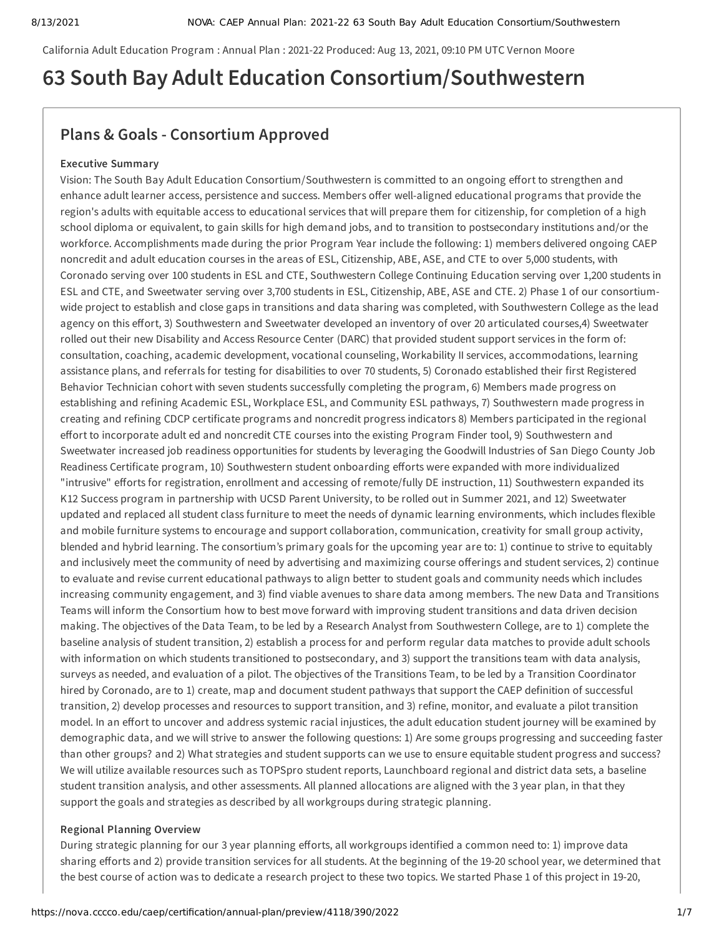California Adult Education Program : Annual Plan : 2021-22 Produced: Aug 13, 2021, 09:10 PM UTC Vernon Moore

## **63 South Bay Adult Education Consortium/Southwestern**

## **Plans & Goals - Consortium Approved**

#### **Executive Summary**

Vision: The South Bay Adult Education Consortium/Southwestern is committed to an ongoing effort to strengthen and enhance adult learner access, persistence and success. Members offer well-aligned educational programs that provide the region's adults with equitable access to educational services that will prepare them for citizenship, for completion of a high school diploma or equivalent, to gain skills for high demand jobs, and to transition to postsecondary institutions and/or the workforce. Accomplishments made during the prior Program Year include the following: 1) members delivered ongoing CAEP noncredit and adult education courses in the areas of ESL, Citizenship, ABE, ASE, and CTE to over 5,000 students, with Coronado serving over 100 students in ESL and CTE, Southwestern College Continuing Education serving over 1,200 students in ESL and CTE, and Sweetwater serving over 3,700 students in ESL, Citizenship, ABE, ASE and CTE. 2) Phase 1 of our consortiumwide project to establish and close gaps in transitions and data sharing was completed, with Southwestern College as the lead agency on this effort, 3) Southwestern and Sweetwater developed an inventory of over 20 articulated courses,4) Sweetwater rolled out their new Disability and Access Resource Center (DARC) that provided student support services in the form of: consultation, coaching, academic development, vocational counseling, Workability II services, accommodations, learning assistance plans, and referrals for testing for disabilities to over 70 students, 5) Coronado established their first Registered Behavior Technician cohort with seven students successfully completing the program, 6) Members made progress on establishing and refining Academic ESL, Workplace ESL, and Community ESL pathways, 7) Southwestern made progress in creating and refining CDCP certificate programs and noncredit progress indicators 8) Members participated in the regional effort to incorporate adult ed and noncredit CTE courses into the existing Program Finder tool, 9) Southwestern and Sweetwater increased job readiness opportunities for students by leveraging the Goodwill Industries of San Diego County Job Readiness Certificate program, 10) Southwestern student onboarding efforts were expanded with more individualized "intrusive" efforts for registration, enrollment and accessing of remote/fully DE instruction, 11) Southwestern expanded its K12 Success program in partnership with UCSD Parent University, to be rolled out in Summer 2021, and 12) Sweetwater updated and replaced all student class furniture to meet the needs of dynamic learning environments, which includes flexible and mobile furniture systems to encourage and support collaboration, communication, creativity for small group activity, blended and hybrid learning. The consortium's primary goals for the upcoming year are to: 1) continue to strive to equitably and inclusively meet the community of need by advertising and maximizing course offerings and student services, 2) continue to evaluate and revise current educational pathways to align better to student goals and community needs which includes increasing community engagement, and 3) find viable avenues to share data among members. The new Data and Transitions Teams will inform the Consortium how to best move forward with improving student transitions and data driven decision making. The objectives of the Data Team, to be led by a Research Analyst from Southwestern College, are to 1) complete the baseline analysis of student transition, 2) establish a process for and perform regular data matches to provide adult schools with information on which students transitioned to postsecondary, and 3) support the transitions team with data analysis, surveys as needed, and evaluation of a pilot. The objectives of the Transitions Team, to be led by a Transition Coordinator hired by Coronado, are to 1) create, map and document student pathways that support the CAEP definition of successful transition, 2) develop processes and resources to support transition, and 3) refine, monitor, and evaluate a pilot transition model. In an effort to uncover and address systemic racial injustices, the adult education student journey will be examined by demographic data, and we will strive to answer the following questions: 1) Are some groups progressing and succeeding faster than other groups? and 2) What strategies and student supports can we use to ensure equitable student progress and success? We will utilize available resources such as TOPSpro student reports, Launchboard regional and district data sets, a baseline student transition analysis, and other assessments. All planned allocations are aligned with the 3 year plan, in that they support the goals and strategies as described by all workgroups during strategic planning.

#### **Regional Planning Overview**

During strategic planning for our 3 year planning efforts, all workgroups identified a common need to: 1) improve data sharing efforts and 2) provide transition services for all students. At the beginning of the 19-20 school year, we determined that the best course of action was to dedicate a research project to these two topics. We started Phase 1 of this project in 19-20,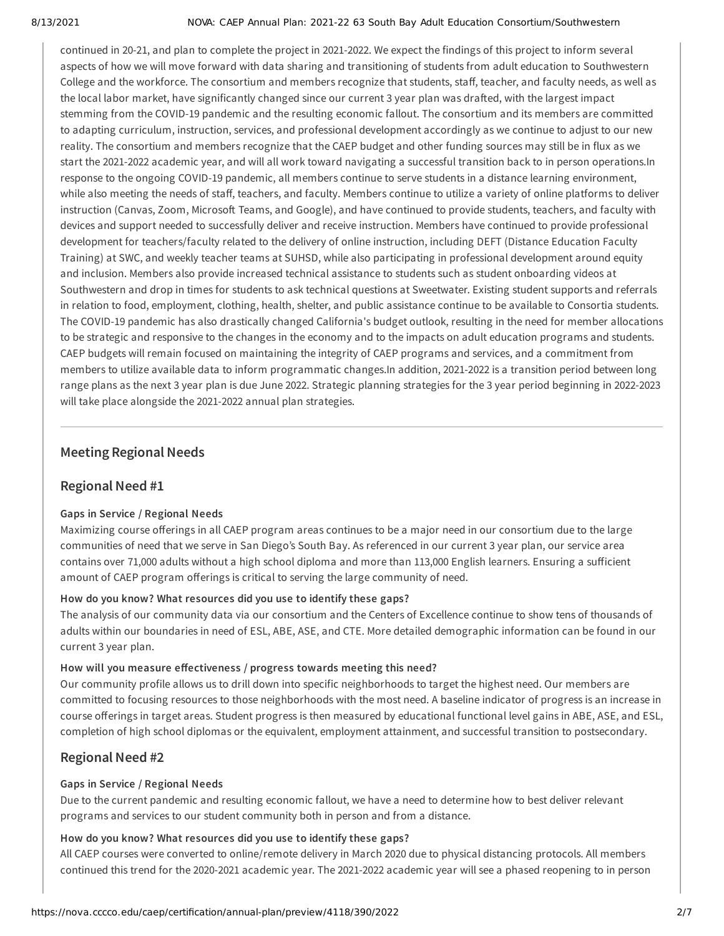#### 8/13/2021 NOVA: CAEP Annual Plan: 2021-22 63 South Bay Adult Education Consortium/Southwestern

continued in 20-21, and plan to complete the project in 2021-2022. We expect the findings of this project to inform several aspects of how we will move forward with data sharing and transitioning of students from adult education to Southwestern College and the workforce. The consortium and members recognize that students, staff, teacher, and faculty needs, as well as the local labor market, have significantly changed since our current 3 year plan was drafted, with the largest impact stemming from the COVID-19 pandemic and the resulting economic fallout. The consortium and its members are committed to adapting curriculum, instruction, services, and professional development accordingly as we continue to adjust to our new reality. The consortium and members recognize that the CAEP budget and other funding sources may still be in flux as we start the 2021-2022 academic year, and will all work toward navigating a successful transition back to in person operations.In response to the ongoing COVID-19 pandemic, all members continue to serve students in a distance learning environment, while also meeting the needs of staff, teachers, and faculty. Members continue to utilize a variety of online platforms to deliver instruction (Canvas, Zoom, Microsoft Teams, and Google), and have continued to provide students, teachers, and faculty with devices and support needed to successfully deliver and receive instruction. Members have continued to provide professional development for teachers/faculty related to the delivery of online instruction, including DEFT (Distance Education Faculty Training) at SWC, and weekly teacher teams at SUHSD, while also participating in professional development around equity and inclusion. Members also provide increased technical assistance to students such as student onboarding videos at Southwestern and drop in times for students to ask technical questions at Sweetwater. Existing student supports and referrals in relation to food, employment, clothing, health, shelter, and public assistance continue to be available to Consortia students. The COVID-19 pandemic has also drastically changed California's budget outlook, resulting in the need for member allocations to be strategic and responsive to the changes in the economy and to the impacts on adult education programs and students. CAEP budgets will remain focused on maintaining the integrity of CAEP programs and services, and a commitment from members to utilize available data to inform programmatic changes.In addition, 2021-2022 is a transition period between long range plans as the next 3 year plan is due June 2022. Strategic planning strategies for the 3 year period beginning in 2022-2023 will take place alongside the 2021-2022 annual plan strategies.

## **Meeting Regional Needs**

## **Regional Need #1**

#### **Gaps in Service / Regional Needs**

Maximizing course offerings in all CAEP program areas continues to be a major need in our consortium due to the large communities of need that we serve in San Diego's South Bay. As referenced in our current 3 year plan, our service area contains over 71,000 adults without a high school diploma and more than 113,000 English learners. Ensuring a sufficient amount of CAEP program offerings is critical to serving the large community of need.

#### **How do you know? What resources did you use to identify these gaps?**

The analysis of our community data via our consortium and the Centers of Excellence continue to show tens of thousands of adults within our boundaries in need of ESL, ABE, ASE, and CTE. More detailed demographic information can be found in our current 3 year plan.

#### **How will you measure effectiveness / progress towards meeting this need?**

Our community profile allows us to drill down into specific neighborhoods to target the highest need. Our members are committed to focusing resources to those neighborhoods with the most need. A baseline indicator of progress is an increase in course offerings in target areas. Student progress is then measured by educational functional level gains in ABE, ASE, and ESL, completion of high school diplomas or the equivalent, employment attainment, and successful transition to postsecondary.

## **Regional Need #2**

#### **Gaps in Service / Regional Needs**

Due to the current pandemic and resulting economic fallout, we have a need to determine how to best deliver relevant programs and services to our student community both in person and from a distance.

#### **How do you know? What resources did you use to identify these gaps?**

All CAEP courses were converted to online/remote delivery in March 2020 due to physical distancing protocols. All members continued this trend for the 2020-2021 academic year. The 2021-2022 academic year will see a phased reopening to in person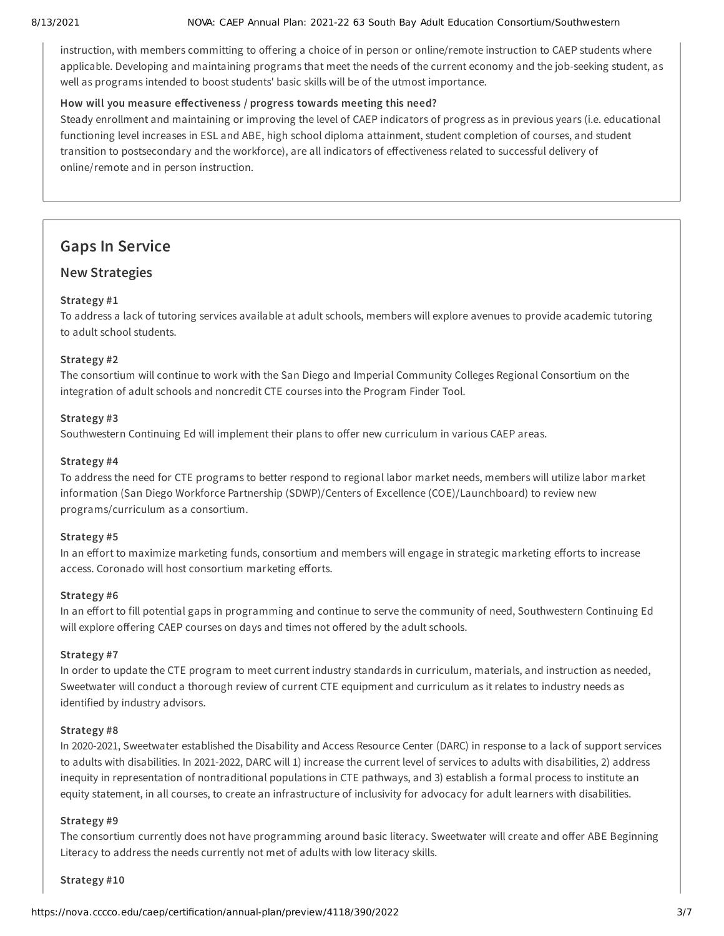#### 8/13/2021 NOVA: CAEP Annual Plan: 2021-22 63 South Bay Adult Education Consortium/Southwestern

instruction, with members committing to offering a choice of in person or online/remote instruction to CAEP students where applicable. Developing and maintaining programs that meet the needs of the current economy and the job-seeking student, as well as programs intended to boost students' basic skills will be of the utmost importance.

#### **How will you measure effectiveness / progress towards meeting this need?**

Steady enrollment and maintaining or improving the level of CAEP indicators of progress as in previous years (i.e. educational functioning level increases in ESL and ABE, high school diploma attainment, student completion of courses, and student transition to postsecondary and the workforce), are all indicators of effectiveness related to successful delivery of online/remote and in person instruction.

## **Gaps In Service**

#### **New Strategies**

#### **Strategy #1**

To address a lack of tutoring services available at adult schools, members will explore avenues to provide academic tutoring to adult school students.

#### **Strategy #2**

The consortium will continue to work with the San Diego and Imperial Community Colleges Regional Consortium on the integration of adult schools and noncredit CTE courses into the Program Finder Tool.

#### **Strategy #3**

Southwestern Continuing Ed will implement their plans to offer new curriculum in various CAEP areas.

#### **Strategy #4**

To address the need for CTE programs to better respond to regional labor market needs, members will utilize labor market information (San Diego Workforce Partnership (SDWP)/Centers of Excellence (COE)/Launchboard) to review new programs/curriculum as a consortium.

#### **Strategy #5**

In an effort to maximize marketing funds, consortium and members will engage in strategic marketing efforts to increase access. Coronado will host consortium marketing efforts.

#### **Strategy #6**

In an effort to fill potential gaps in programming and continue to serve the community of need, Southwestern Continuing Ed will explore offering CAEP courses on days and times not offered by the adult schools.

#### **Strategy #7**

In order to update the CTE program to meet current industry standards in curriculum, materials, and instruction as needed, Sweetwater will conduct a thorough review of current CTE equipment and curriculum as it relates to industry needs as identified by industry advisors.

#### **Strategy #8**

In 2020-2021, Sweetwater established the Disability and Access Resource Center (DARC) in response to a lack of support services to adults with disabilities. In 2021-2022, DARC will 1) increase the current level of services to adults with disabilities, 2) address inequity in representation of nontraditional populations in CTE pathways, and 3) establish a formal process to institute an equity statement, in all courses, to create an infrastructure of inclusivity for advocacy for adult learners with disabilities.

#### **Strategy #9**

The consortium currently does not have programming around basic literacy. Sweetwater will create and offer ABE Beginning Literacy to address the needs currently not met of adults with low literacy skills.

#### **Strategy #10**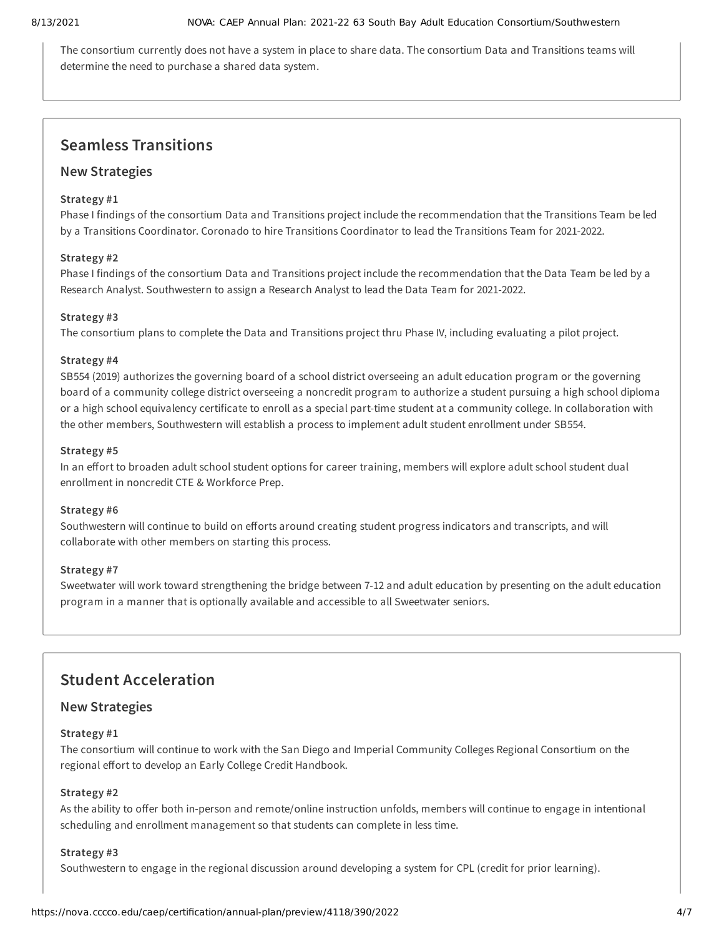The consortium currently does not have a system in place to share data. The consortium Data and Transitions teams will determine the need to purchase a shared data system.

## **Seamless Transitions**

#### **New Strategies**

#### **Strategy #1**

Phase I findings of the consortium Data and Transitions project include the recommendation that the Transitions Team be led by a Transitions Coordinator. Coronado to hire Transitions Coordinator to lead the Transitions Team for 2021-2022.

#### **Strategy #2**

Phase I findings of the consortium Data and Transitions project include the recommendation that the Data Team be led by a Research Analyst. Southwestern to assign a Research Analyst to lead the Data Team for 2021-2022.

#### **Strategy #3**

The consortium plans to complete the Data and Transitions project thru Phase IV, including evaluating a pilot project.

#### **Strategy #4**

SB554 (2019) authorizes the governing board of a school district overseeing an adult education program or the governing board of a community college district overseeing a noncredit program to authorize a student pursuing a high school diploma or a high school equivalency certificate to enroll as a special part-time student at a community college. In collaboration with the other members, Southwestern will establish a process to implement adult student enrollment under SB554.

#### **Strategy #5**

In an effort to broaden adult school student options for career training, members will explore adult school student dual enrollment in noncredit CTE & Workforce Prep.

#### **Strategy #6**

Southwestern will continue to build on efforts around creating student progress indicators and transcripts, and will collaborate with other members on starting this process.

#### **Strategy #7**

Sweetwater will work toward strengthening the bridge between 7-12 and adult education by presenting on the adult education program in a manner that is optionally available and accessible to all Sweetwater seniors.

## **Student Acceleration**

#### **New Strategies**

#### **Strategy #1**

The consortium will continue to work with the San Diego and Imperial Community Colleges Regional Consortium on the regional effort to develop an Early College Credit Handbook.

#### **Strategy #2**

As the ability to offer both in-person and remote/online instruction unfolds, members will continue to engage in intentional scheduling and enrollment management so that students can complete in less time.

#### **Strategy #3**

Southwestern to engage in the regional discussion around developing a system for CPL (credit for prior learning).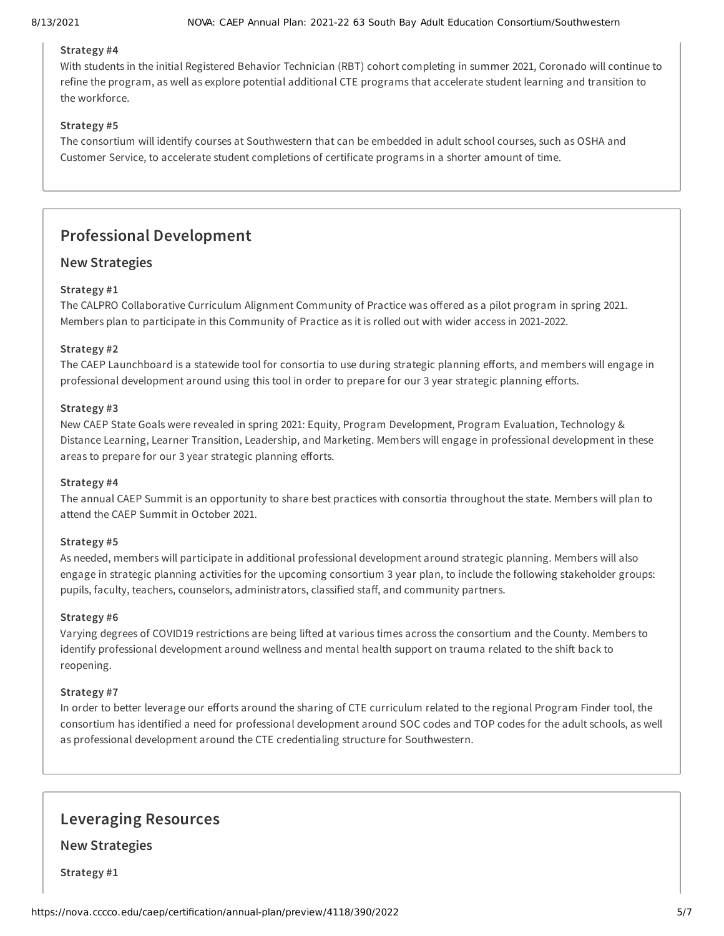#### **Strategy #4**

With students in the initial Registered Behavior Technician (RBT) cohort completing in summer 2021, Coronado will continue to refine the program, as well as explore potential additional CTE programs that accelerate student learning and transition to the workforce.

#### **Strategy #5**

The consortium will identify courses at Southwestern that can be embedded in adult school courses, such as OSHA and Customer Service, to accelerate student completions of certificate programs in a shorter amount of time.

## **Professional Development**

#### **New Strategies**

#### **Strategy #1**

The CALPRO Collaborative Curriculum Alignment Community of Practice was offered as a pilot program in spring 2021. Members plan to participate in this Community of Practice as it is rolled out with wider access in 2021-2022.

#### **Strategy #2**

The CAEP Launchboard is a statewide tool for consortia to use during strategic planning efforts, and members will engage in professional development around using this tool in order to prepare for our 3 year strategic planning efforts.

#### **Strategy #3**

New CAEP State Goals were revealed in spring 2021: Equity, Program Development, Program Evaluation, Technology & Distance Learning, Learner Transition, Leadership, and Marketing. Members will engage in professional development in these areas to prepare for our 3 year strategic planning efforts.

#### **Strategy #4**

The annual CAEP Summit is an opportunity to share best practices with consortia throughout the state. Members will plan to attend the CAEP Summit in October 2021.

#### **Strategy #5**

As needed, members will participate in additional professional development around strategic planning. Members will also engage in strategic planning activities for the upcoming consortium 3 year plan, to include the following stakeholder groups: pupils, faculty, teachers, counselors, administrators, classified staff, and community partners.

#### **Strategy #6**

Varying degrees of COVID19 restrictions are being lifted at various times across the consortium and the County. Members to identify professional development around wellness and mental health support on trauma related to the shift back to reopening.

#### **Strategy #7**

In order to better leverage our efforts around the sharing of CTE curriculum related to the regional Program Finder tool, the consortium has identified a need for professional development around SOC codes and TOP codes for the adult schools, as well as professional development around the CTE credentialing structure for Southwestern.

### **Leveraging Resources**

**New Strategies**

**Strategy #1**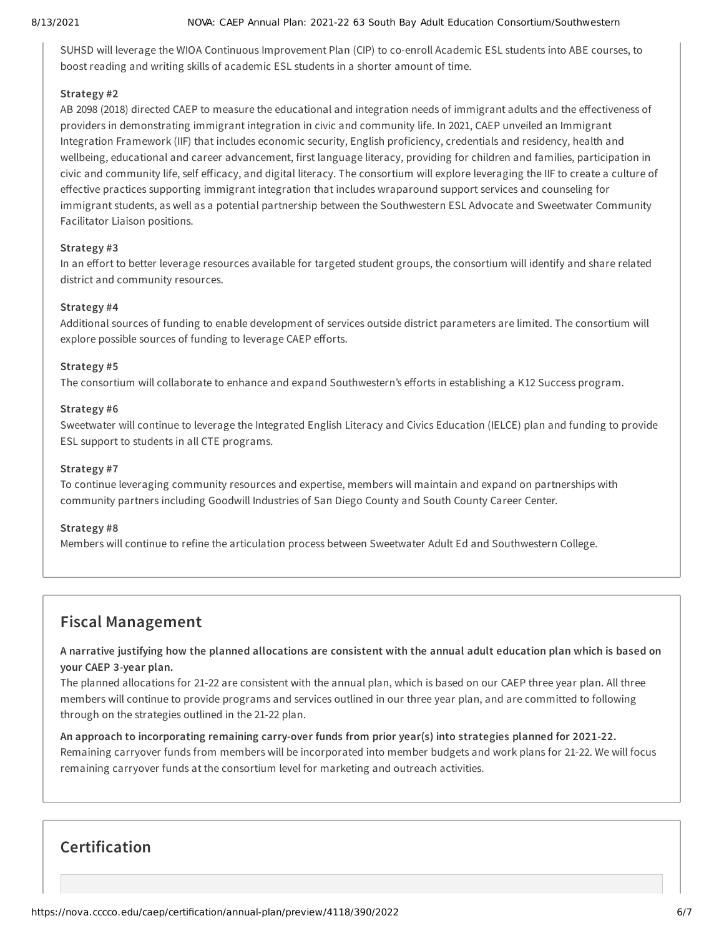#### 8/13/2021 NOVA: CAEP Annual Plan: 2021-22 63 South Bay Adult Education Consortium/Southwestern

SUHSD will leverage the WIOA Continuous Improvement Plan (CIP) to co-enroll Academic ESL students into ABE courses, to boost reading and writing skills of academic ESL students in a shorter amount of time.

#### **Strategy #2**

AB 2098 (2018) directed CAEP to measure the educational and integration needs of immigrant adults and the effectiveness of providers in demonstrating immigrant integration in civic and community life. In 2021, CAEP unveiled an Immigrant Integration Framework (IIF) that includes economic security, English proficiency, credentials and residency, health and wellbeing, educational and career advancement, first language literacy, providing for children and families, participation in civic and community life, self efficacy, and digital literacy. The consortium will explore leveraging the IIF to create a culture of effective practices supporting immigrant integration that includes wraparound support services and counseling for immigrant students, as well as a potential partnership between the Southwestern ESL Advocate and Sweetwater Community Facilitator Liaison positions.

#### **Strategy #3**

In an effort to better leverage resources available for targeted student groups, the consortium will identify and share related district and community resources.

#### **Strategy #4**

Additional sources of funding to enable development of services outside district parameters are limited. The consortium will explore possible sources of funding to leverage CAEP efforts.

#### **Strategy #5**

The consortium will collaborate to enhance and expand Southwestern's efforts in establishing a K12 Success program.

#### **Strategy #6**

Sweetwater will continue to leverage the Integrated English Literacy and Civics Education (IELCE) plan and funding to provide ESL support to students in all CTE programs.

#### **Strategy #7**

To continue leveraging community resources and expertise, members will maintain and expand on partnerships with community partners including Goodwill Industries of San Diego County and South County Career Center.

#### **Strategy #8**

Members will continue to refine the articulation process between Sweetwater Adult Ed and Southwestern College.

## **Fiscal Management**

A narrative justifying how the planned allocations are consistent with the annual adult education plan which is based on **your CAEP 3-year plan.**

The planned allocations for 21-22 are consistent with the annual plan, which is based on our CAEP three year plan. All three members will continue to provide programs and services outlined in our three year plan, and are committed to following through on the strategies outlined in the 21-22 plan.

**An approach to incorporating remaining carry-over funds from prior year(s) into strategies planned for 2021-22.** Remaining carryover funds from members will be incorporated into member budgets and work plans for 21-22. We will focus remaining carryover funds at the consortium level for marketing and outreach activities.

## **Certification**